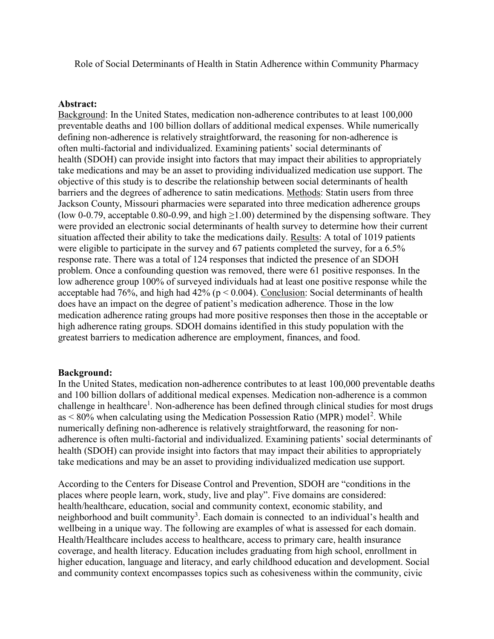Role of Social Determinants of Health in Statin Adherence within Community Pharmacy

### Abstract:

Background: In the United States, medication non-adherence contributes to at least 100,000 preventable deaths and 100 billion dollars of additional medical expenses. While numerically defining non-adherence is relatively straightforward, the reasoning for non-adherence is often multi-factorial and individualized. Examining patients' social determinants of health (SDOH) can provide insight into factors that may impact their abilities to appropriately take medications and may be an asset to providing individualized medication use support. The objective of this study is to describe the relationship between social determinants of health barriers and the degrees of adherence to satin medications. Methods: Statin users from three Jackson County, Missouri pharmacies were separated into three medication adherence groups (low 0-0.79, acceptable 0.80-0.99, and high  $\geq$ 1.00) determined by the dispensing software. They were provided an electronic social determinants of health survey to determine how their current situation affected their ability to take the medications daily. Results: A total of 1019 patients were eligible to participate in the survey and 67 patients completed the survey, for a 6.5% response rate. There was a total of 124 responses that indicted the presence of an SDOH problem. Once a confounding question was removed, there were 61 positive responses. In the low adherence group 100% of surveyed individuals had at least one positive response while the acceptable had 76%, and high had  $42\%$  ( $p < 0.004$ ). Conclusion: Social determinants of health does have an impact on the degree of patient's medication adherence. Those in the low medication adherence rating groups had more positive responses then those in the acceptable or high adherence rating groups. SDOH domains identified in this study population with the greatest barriers to medication adherence are employment, finances, and food.

## Background:

In the United States, medication non-adherence contributes to at least 100,000 preventable deaths and 100 billion dollars of additional medical expenses. Medication non-adherence is a common challenge in healthcare<sup>1</sup>. Non-adherence has been defined through clinical studies for most drugs as  $\leq 80\%$  when calculating using the Medication Possession Ratio (MPR) model<sup>2</sup>. While numerically defining non-adherence is relatively straightforward, the reasoning for nonadherence is often multi-factorial and individualized. Examining patients' social determinants of health (SDOH) can provide insight into factors that may impact their abilities to appropriately take medications and may be an asset to providing individualized medication use support.

According to the Centers for Disease Control and Prevention, SDOH are "conditions in the places where people learn, work, study, live and play". Five domains are considered: health/healthcare, education, social and community context, economic stability, and neighborhood and built community<sup>3</sup>. Each domain is connected to an individual's health and wellbeing in a unique way. The following are examples of what is assessed for each domain. Health/Healthcare includes access to healthcare, access to primary care, health insurance coverage, and health literacy. Education includes graduating from high school, enrollment in higher education, language and literacy, and early childhood education and development. Social and community context encompasses topics such as cohesiveness within the community, civic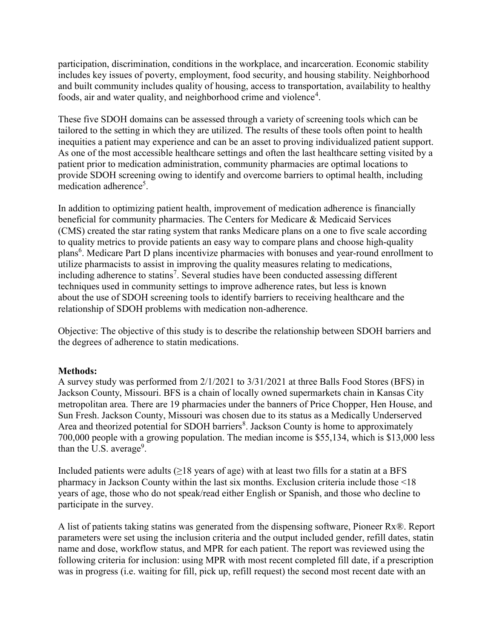participation, discrimination, conditions in the workplace, and incarceration. Economic stability includes key issues of poverty, employment, food security, and housing stability. Neighborhood and built community includes quality of housing, access to transportation, availability to healthy foods, air and water quality, and neighborhood crime and violence<sup>4</sup>.

These five SDOH domains can be assessed through a variety of screening tools which can be tailored to the setting in which they are utilized. The results of these tools often point to health inequities a patient may experience and can be an asset to proving individualized patient support. As one of the most accessible healthcare settings and often the last healthcare setting visited by a patient prior to medication administration, community pharmacies are optimal locations to provide SDOH screening owing to identify and overcome barriers to optimal health, including medication adherence<sup>5</sup>.

In addition to optimizing patient health, improvement of medication adherence is financially beneficial for community pharmacies. The Centers for Medicare & Medicaid Services (CMS) created the star rating system that ranks Medicare plans on a one to five scale according to quality metrics to provide patients an easy way to compare plans and choose high-quality plans<sup>6</sup>. Medicare Part D plans incentivize pharmacies with bonuses and year-round enrollment to utilize pharmacists to assist in improving the quality measures relating to medications, including adherence to statins<sup>7</sup>. Several studies have been conducted assessing different techniques used in community settings to improve adherence rates, but less is known about the use of SDOH screening tools to identify barriers to receiving healthcare and the relationship of SDOH problems with medication non-adherence.

Objective: The objective of this study is to describe the relationship between SDOH barriers and the degrees of adherence to statin medications.

## Methods:

A survey study was performed from 2/1/2021 to 3/31/2021 at three Balls Food Stores (BFS) in Jackson County, Missouri. BFS is a chain of locally owned supermarkets chain in Kansas City metropolitan area. There are 19 pharmacies under the banners of Price Chopper, Hen House, and Sun Fresh. Jackson County, Missouri was chosen due to its status as a Medically Underserved Area and theorized potential for SDOH barriers<sup>8</sup>. Jackson County is home to approximately 700,000 people with a growing population. The median income is \$55,134, which is \$13,000 less than the U.S. average<sup>9</sup>.

Included patients were adults  $(\geq)18$  years of age) with at least two fills for a statin at a BFS pharmacy in Jackson County within the last six months. Exclusion criteria include those <18 years of age, those who do not speak/read either English or Spanish, and those who decline to participate in the survey.

A list of patients taking statins was generated from the dispensing software, Pioneer Rx®. Report parameters were set using the inclusion criteria and the output included gender, refill dates, statin name and dose, workflow status, and MPR for each patient. The report was reviewed using the following criteria for inclusion: using MPR with most recent completed fill date, if a prescription was in progress (i.e. waiting for fill, pick up, refill request) the second most recent date with an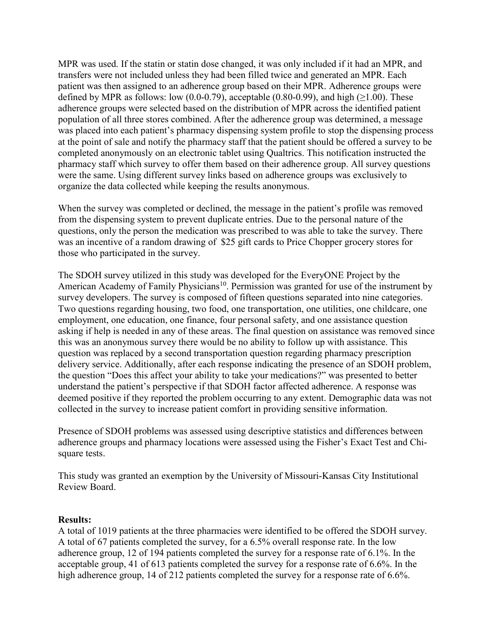MPR was used. If the statin or statin dose changed, it was only included if it had an MPR, and transfers were not included unless they had been filled twice and generated an MPR. Each patient was then assigned to an adherence group based on their MPR. Adherence groups were defined by MPR as follows: low (0.0-0.79), acceptable (0.80-0.99), and high ( $\geq$ 1.00). These adherence groups were selected based on the distribution of MPR across the identified patient population of all three stores combined. After the adherence group was determined, a message was placed into each patient's pharmacy dispensing system profile to stop the dispensing process at the point of sale and notify the pharmacy staff that the patient should be offered a survey to be completed anonymously on an electronic tablet using Qualtrics. This notification instructed the pharmacy staff which survey to offer them based on their adherence group. All survey questions were the same. Using different survey links based on adherence groups was exclusively to organize the data collected while keeping the results anonymous.

When the survey was completed or declined, the message in the patient's profile was removed from the dispensing system to prevent duplicate entries. Due to the personal nature of the questions, only the person the medication was prescribed to was able to take the survey. There was an incentive of a random drawing of \$25 gift cards to Price Chopper grocery stores for those who participated in the survey.

The SDOH survey utilized in this study was developed for the EveryONE Project by the American Academy of Family Physicians<sup>10</sup>. Permission was granted for use of the instrument by survey developers. The survey is composed of fifteen questions separated into nine categories. Two questions regarding housing, two food, one transportation, one utilities, one childcare, one employment, one education, one finance, four personal safety, and one assistance question asking if help is needed in any of these areas. The final question on assistance was removed since this was an anonymous survey there would be no ability to follow up with assistance. This question was replaced by a second transportation question regarding pharmacy prescription delivery service. Additionally, after each response indicating the presence of an SDOH problem, the question "Does this affect your ability to take your medications?" was presented to better understand the patient's perspective if that SDOH factor affected adherence. A response was deemed positive if they reported the problem occurring to any extent. Demographic data was not collected in the survey to increase patient comfort in providing sensitive information.

Presence of SDOH problems was assessed using descriptive statistics and differences between adherence groups and pharmacy locations were assessed using the Fisher's Exact Test and Chisquare tests.

This study was granted an exemption by the University of Missouri-Kansas City Institutional Review Board.

#### Results:

A total of 1019 patients at the three pharmacies were identified to be offered the SDOH survey. A total of 67 patients completed the survey, for a 6.5% overall response rate. In the low adherence group, 12 of 194 patients completed the survey for a response rate of 6.1%. In the acceptable group, 41 of 613 patients completed the survey for a response rate of 6.6%. In the high adherence group, 14 of 212 patients completed the survey for a response rate of 6.6%.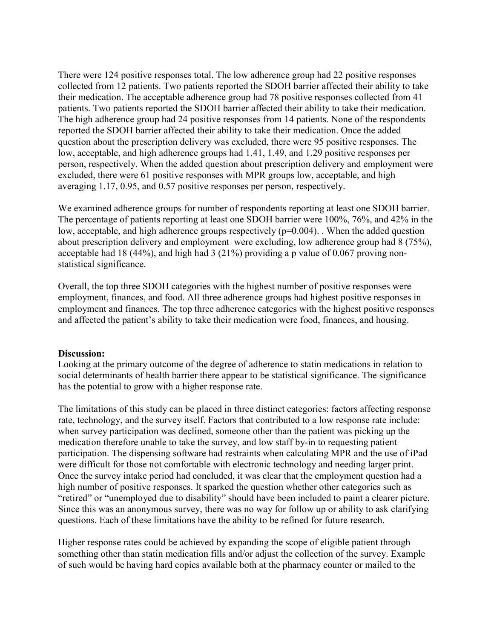There were 124 positive responses total. The low adherence group had 22 positive responses collected from 12 patients. Two patients reported the SDOH barrier affected their ability to take their medication. The acceptable adherence group had 78 positive responses collected from 41 patients. Two patients reported the SDOH barrier affected their ability to take their medication. The high adherence group had 24 positive responses from 14 patients. None of the respondents reported the SDOH barrier affected their ability to take their medication. Once the added question about the prescription delivery was excluded, there were 95 positive responses. The low, acceptable, and high adherence groups had 1.41, 1.49, and 1.29 positive responses per person, respectively. When the added question about prescription delivery and employment were excluded, there were 61 positive responses with MPR groups low, acceptable, and high averaging 1.17, 0.95, and 0.57 positive responses per person, respectively.

We examined adherence groups for number of respondents reporting at least one SDOH barrier. The percentage of patients reporting at least one SDOH barrier were 100%, 76%, and 42% in the low, acceptable, and high adherence groups respectively (p=0.004). When the added question about prescription delivery and employment were excluding, low adherence group had 8 (75%), acceptable had 18 (44%), and high had 3 (21%) providing a p value of 0.067 proving nonstatistical significance.

Overall, the top three SDOH categories with the highest number of positive responses were employment, finances, and food. All three adherence groups had highest positive responses in employment and finances. The top three adherence categories with the highest positive responses and affected the patient's ability to take their medication were food, finances, and housing.

#### Discussion:

Looking at the primary outcome of the degree of adherence to statin medications in relation to social determinants of health barrier there appear to be statistical significance. The significance has the potential to grow with a higher response rate.

The limitations of this study can be placed in three distinct categories: factors affecting response rate, technology, and the survey itself. Factors that contributed to a low response rate include: when survey participation was declined, someone other than the patient was picking up the medication therefore unable to take the survey, and low staff by-in to requesting patient participation. The dispensing software had restraints when calculating MPR and the use of iPad were difficult for those not comfortable with electronic technology and needing larger print. Once the survey intake period had concluded, it was clear that the employment question had a high number of positive responses. It sparked the question whether other categories such as "retired" or "unemployed due to disability" should have been included to paint a clearer picture. Since this was an anonymous survey, there was no way for follow up or ability to ask clarifying questions. Each of these limitations have the ability to be refined for future research.

Higher response rates could be achieved by expanding the scope of eligible patient through something other than statin medication fills and/or adjust the collection of the survey. Example of such would be having hard copies available both at the pharmacy counter or mailed to the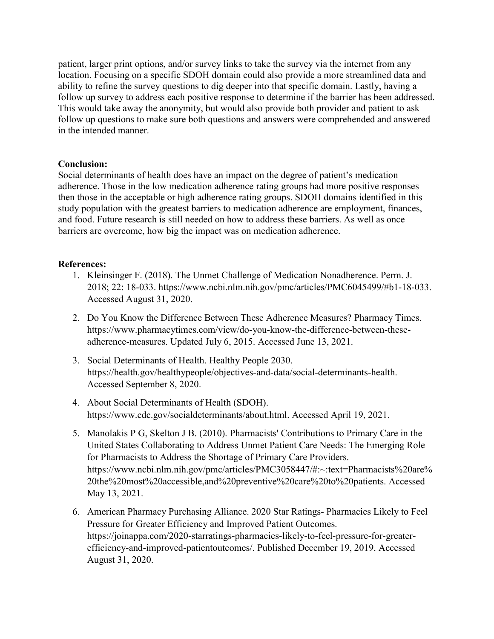patient, larger print options, and/or survey links to take the survey via the internet from any location. Focusing on a specific SDOH domain could also provide a more streamlined data and ability to refine the survey questions to dig deeper into that specific domain. Lastly, having a follow up survey to address each positive response to determine if the barrier has been addressed. This would take away the anonymity, but would also provide both provider and patient to ask follow up questions to make sure both questions and answers were comprehended and answered in the intended manner.

## Conclusion:

Social determinants of health does have an impact on the degree of patient's medication adherence. Those in the low medication adherence rating groups had more positive responses then those in the acceptable or high adherence rating groups. SDOH domains identified in this study population with the greatest barriers to medication adherence are employment, finances, and food. Future research is still needed on how to address these barriers. As well as once barriers are overcome, how big the impact was on medication adherence.

# References:

- 1. Kleinsinger F. (2018). The Unmet Challenge of Medication Nonadherence. Perm. J. 2018; 22: 18-033. https://www.ncbi.nlm.nih.gov/pmc/articles/PMC6045499/#b1-18-033. Accessed August 31, 2020.
- 2. Do You Know the Difference Between These Adherence Measures? Pharmacy Times. https://www.pharmacytimes.com/view/do-you-know-the-difference-between-theseadherence-measures. Updated July 6, 2015. Accessed June 13, 2021.
- 3. Social Determinants of Health. Healthy People 2030. https://health.gov/healthypeople/objectives-and-data/social-determinants-health. Accessed September 8, 2020.
- 4. About Social Determinants of Health (SDOH). https://www.cdc.gov/socialdeterminants/about.html. Accessed April 19, 2021.
- 5. Manolakis P G, Skelton J B. (2010). Pharmacists' Contributions to Primary Care in the United States Collaborating to Address Unmet Patient Care Needs: The Emerging Role for Pharmacists to Address the Shortage of Primary Care Providers. https://www.ncbi.nlm.nih.gov/pmc/articles/PMC3058447/#:~:text=Pharmacists%20are% 20the%20most%20accessible,and%20preventive%20care%20to%20patients. Accessed May 13, 2021.
- 6. American Pharmacy Purchasing Alliance. 2020 Star Ratings- Pharmacies Likely to Feel Pressure for Greater Efficiency and Improved Patient Outcomes. https://joinappa.com/2020-starratings-pharmacies-likely-to-feel-pressure-for-greaterefficiency-and-improved-patientoutcomes/. Published December 19, 2019. Accessed August 31, 2020.